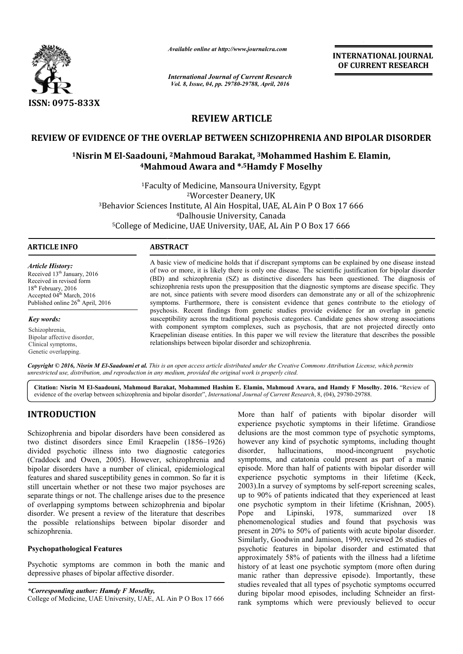

*Available online at http://www.journalcra.com*

*International Journal of Current Research Vol. 8, Issue, 04, pp. 29780-29788, April, 2016*

**INTERNATIONAL JOURNAL OF CURRENT RESEARCH** 

# **REVIEW ARTICLE**

# **REVIEW OF EVIDENCE OF THE OVERLAP BETWEEN SCHIZOPHRENIA AND BIPOLAR DISORDER**

# OF EVIDENCE OF THE OVERLAP BETWEEN SCHIZOPHRENIA AND BIPOLAR D<br><sup>1</sup>Nisrin M El-Saadouni, <sup>2</sup>Mahmoud Barakat, <sup>3</sup>Mohammed Hashim E. Elamin, **4Mahmoud Awara Mahmoud and \*,5Hamdy F Moselhy**

1Faculty of Medicine, Mansoura University, Egypt Faculty 2Worcester Deanery, UK 3Behavior Sciences Institute, Al Ain Hospital, UAE, AL Ain P O Box 17 666 Behavior 4Dalhousie University, Canada havior Sciences Institute, Al Ain Hospital, UAE, AL Ain P O Box 17<br>20 alhousie University, Canada<br>2666 College of Medicine, UAE University, UAE, AL Ain P O Box 17%

 $\overline{a}$ 

# **ARTICLE INFO ABSTRACT**

*Article History:* Received 13<sup>th</sup> January, 2016 Received in revised form 18<sup>th</sup> February, 2016 Accepted 04<sup>th</sup> March, 2016 Published online  $26<sup>th</sup>$  April, 2016

*Key words:* Schizophrenia, Bipolar affective disorder, Clinical symptoms, Genetic overlapping.

A basic view of medicine holds that if discrepant symptoms can be explained by one disease instead of two or more, it is likely there is only one disease. The scientific justification for bipolar disorder (BD) and schizophrenia (SZ) as distinctive disorders has been questioned. The diagnosis of schizophrenia rests upon the presupposition that the diagnostic symptoms are disease specific. They are not, since patients with severe mood disorders can demonstrate any or all of the schizophrenic symptoms. Furthermore, there is consistent evidence that genes contribute to the etiology of psychosis. Recent findings from genetic studies provide evidence for an overlap in genetic susceptibility across the traditional psychosis categories. Candidate genes show strong associations with component symptom complexes, such as psychosis, that are not projected directly onto Kraepelinian disease entities. In this paper we will review the literature that describes the possible relationships between bipolar disorder and schizophrenia. A basic view of medicine holds that if discrepant symptoms can be explained by one disease instead<br>of two or more, it is likely there is only one disease. The scientific justification for bipolar disorder<br>(BD) and schizoph

Copyright © 2016, Nisrin M El-Saadouni et al. This is an open access article distributed under the Creative Commons Attribution License, which permits *unrestricted use, distribution, and reproduction in any medium, provided the original work is properly cited.*

Citation: Nisrin M El-Saadouni, Mahmoud Barakat, Mohammed Hashim E. Elamin, Mahmoud Awara, and Hamdy F Moselhy. 2016. "Review of evidence of the overlap between schizophrenia and bipolar disorder", *International Journal of Current Research*, 8, (04), 29780-29788.

# **INTRODUCTION**

Schizophrenia and bipolar disorders have been considered as two distinct disorders since Emil Kraepelin (1856 (1856–1926) divided psychotic illness into two diagnostic categories (Craddock and Owen, 2005). However, schizophrenia and bipolar disorders have a number of clinical, epidemiological features and shared susceptibility genes in common. So far it is still uncertain whether or not these two major psychoses are separate things or not. The challenge arises due to the presence of overlapping symptoms between schizophrenia and bipolar disorder. We present a review of the literature that describes the possible relationships between bipolar disorder and schizophrenia.

### **Psychopathological Features**

Psychotic symptoms are common in both the manic and depressive phases of bipolar affective disorder.

*\*Corresponding author: Hamdy F Moselhy,*

College of Medicine, UAE University, UAE, AL Ain P O Box 17 666

More than half of patients with bipolar disorder will<br>experience psychotic symptoms in their lifetime. Grandiose<br>delusions are the most common type of psychotic symptoms,<br>aepelin (1856–1926) however any kind of psychotic s experience psychotic symptoms in their lifetime. Grandiose delusions are the most common type of psychotic symptoms, however any kind of psychotic symptoms, including thought disorder, hallucinations, mood-incongruent symptoms, and catatonia could present as part of a manic episode. More than half of patients with bipolar disorder will experience psychotic symptoms in their lifetime (Keck, episode. More than half of patients with bipolar disorder will experience psychotic symptoms in their lifetime (Keck, 2003). In a survey of symptoms by self-report screening scales, up to 90% of patients indicated that they experienced at least one psychotic symptom in their lifetime ( (Krishnan, 2005). Pope and Lipinski, 1978, summarized over 18 phenomenological studies and found that psychosis was present in 20% to 50% of patients with acute bipolar disorder. Similarly, Goodwin and Jamison, 1990, reviewed 26 studies of psychotic features in bipolar disorder and estimated that approximately 58% of patients with the illness had a lifetime history of at least one psychotic symptom (more often during manic rather than depressive episode). Importantly, these studies revealed that all types of psychotic symptoms occurred studies revealed that all types of psychotic symptoms occurred<br>during bipolar mood episodes, including Schneider an firstrank symptoms which were previously believed to occur an half of patients with bipolar disorder will<br>e psychotic symptoms in their lifetime. Grandiose<br>are the most common type of psychotic symptoms,<br>any kind of psychotic symptoms, including thought<br>hallucinations, mood-incong Lipinski, 1978, summarized over 18<br>cal studies and found that psychosis was<br>to 50% of patients with acute bipolar disorder.<br>lwin and Jamison, 1990, reviewed 26 studies of<br>res in bipolar disorder and estimated that<br>58% of p believed to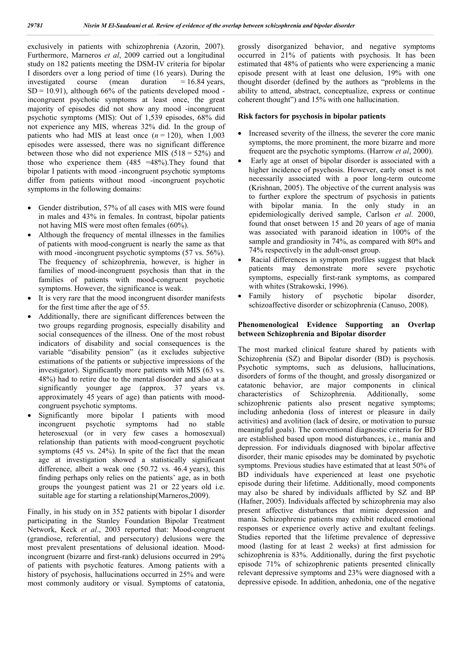exclusively in patients with schizophrenia (Azorin, 2007). Furthermore, Marneros *et al*, 2009 carried out a longitudinal study on 182 patients meeting the DSM-IV criteria for bipolar I disorders over a long period of time (16 years). During the investigated course (mean duration  $= 16.84$  years,  $SD = 10.91$ , although 66% of the patients developed mood incongruent psychotic symptoms at least once, the great majority of episodes did not show any mood -incongruent psychotic symptoms (MIS): Out of 1,539 episodes, 68% did not experience any MIS, whereas 32% did. In the group of patients who had MIS at least once  $(n = 120)$ , when 1,003 episodes were assessed, there was no significant difference between those who did not experience MIS  $(518 = 52%)$  and those who experience them  $(485 \approx 48\%)$ . They found that bipolar I patients with mood -incongruent psychotic symptoms differ from patients without mood -incongruent psychotic symptoms in the following domains:

- Gender distribution, 57% of all cases with MIS were found in males and 43% in females. In contrast, bipolar patients not having MIS were most often females (60%).
- Although the frequency of mental illnesses in the families of patients with mood-congruent is nearly the same as that with mood -incongruent psychotic symptoms (57 vs. 56%). The frequency of schizophrenia, however, is higher in families of mood-incongruent psychosis than that in the families of patients with mood-congruent psychotic symptoms. However, the significance is weak.
- It is very rare that the mood incongruent disorder manifests for the first time after the age of 55.
- Additionally, there are significant differences between the two groups regarding prognosis, especially disability and social consequences of the illness. One of the most robust indicators of disability and social consequences is the variable "disability pension" (as it excludes subjective estimations of the patients or subjective impressions of the investigator). Significantly more patients with MIS (63 vs. 48%) had to retire due to the mental disorder and also at a significantly younger age (approx. 37 years vs. approximately 45 years of age) than patients with moodcongruent psychotic symptoms.
- Significantly more bipolar I patients with mood incongruent psychotic symptoms had no stable heterosexual (or in very few cases a homosexual) relationship than patients with mood-congruent psychotic symptoms (45 vs. 24%). In spite of the fact that the mean age at investigation showed a statistically significant difference, albeit a weak one (50.72 vs. 46.4 years), this finding perhaps only relies on the patients' age, as in both groups the youngest patient was 21 or 22 years old i.e. suitable age for starting a relationship(Marneros,2009).

Finally, in his study on in 352 patients with bipolar I disorder participating in the Stanley Foundation Bipolar Treatment Network, Keck *et al*., 2003 reported that: Mood-congruent (grandiose, referential, and persecutory) delusions were the most prevalent presentations of delusional ideation. Moodincongruent (bizarre and first-rank) delusions occurred in 29% of patients with psychotic features. Among patients with a history of psychosis, hallucinations occurred in 25% and were most commonly auditory or visual. Symptoms of catatonia, grossly disorganized behavior, and negative symptoms occurred in 21% of patients with psychosis. It has been estimated that 48% of patients who were experiencing a manic episode present with at least one delusion, 19% with one thought disorder (defined by the authors as "problems in the ability to attend, abstract, conceptualize, express or continue coherent thought") and 15% with one hallucination.

#### **Risk factors for psychosis in bipolar patients**

- Increased severity of the illness, the severer the core manic symptoms, the more prominent, the more bizarre and more frequent are the psychotic symptoms. (Harrow *et al*, 2000).
- Early age at onset of bipolar disorder is associated with a higher incidence of psychosis. However, early onset is not necessarily associated with a poor long-term outcome (Krishnan, 2005). The objective of the current analysis was to further explore the spectrum of psychosis in patients with bipolar mania. In the only study in an epidemiologically derived sample, Carlson *et al*. 2000, found that onset between 15 and 20 years of age of mania was associated with paranoid ideation in 100% of the sample and grandiosity in 74%, as compared with 80% and 74% respectively in the adult-onset group.
- Racial differences in symptom profiles suggest that black patients may demonstrate more severe psychotic symptoms, especially first-rank symptoms, as compared with whites (Strakowski, 1996).
- Family history of psychotic bipolar disorder, schizoaffective disorder or schizophrenia (Canuso, 2008).

#### **Phenomenological Evidence Supporting an Overlap between Schizophrenia and Bipolar disorder**

The most marked clinical feature shared by patients with Schizophrenia (SZ) and Bipolar disorder (BD) is psychosis. Psychotic symptoms, such as delusions, hallucinations, disorders of forms of the thought, and grossly disorganized or catatonic behavior, are major components in clinical characteristics of Schizophrenia. Additionally, some schizophrenic patients also present negative symptoms; including anhedonia (loss of interest or pleasure in daily activities) and avolition (lack of desire, or motivation to pursue meaningful goals). The conventional diagnostic criteria for BD are established based upon mood disturbances, i.e., mania and depression. For individuals diagnosed with bipolar affective disorder, their manic episodes may be dominated by psychotic symptoms. Previous studies have estimated that at least 50% of BD individuals have experienced at least one psychotic episode during their lifetime. Additionally, mood components may also be shared by individuals afflicted by SZ and BP (Hafner, 2005). Individuals affected by schizophrenia may also present affective disturbances that mimic depression and mania. Schizophrenic patients may exhibit reduced emotional responses or experience overly active and exultant feelings. Studies reported that the lifetime prevalence of depressive mood (lasting for at least 2 weeks) at first admission for schizophrenia is 83%. Additionally, during the first psychotic episode 71% of schizophrenic patients presented clinically relevant depressive symptoms and 23% were diagnosed with a depressive episode. In addition, anhedonia, one of the negative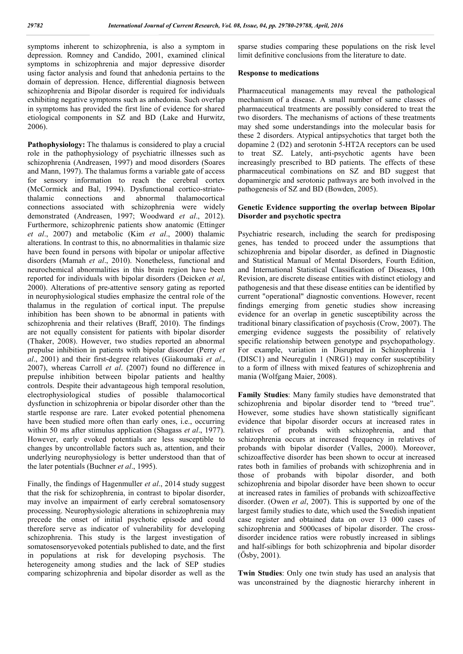symptoms inherent to schizophrenia, is also a symptom in depression. Romney and Candido, 2001, examined clinical symptoms in schizophrenia and major depressive disorder using factor analysis and found that anhedonia pertains to the domain of depression. Hence, differential diagnosis between schizophrenia and Bipolar disorder is required for individuals exhibiting negative symptoms such as anhedonia. Such overlap in symptoms has provided the first line of evidence for shared etiological components in SZ and BD (Lake and Hurwitz, 2006).

Pathophysiology: The thalamus is considered to play a crucial role in the pathophysiology of psychiatric illnesses such as schizophrenia (Andreasen, 1997) and mood disorders (Soares and Mann, 1997). The thalamus forms a variable gate of access for sensory information to reach the cerebral cortex (McCormick and Bal, 1994). Dysfunctional cortico-striatothalamic connections and abnormal thalamocortical connections associated with schizophrenia were widely demonstrated (Andreasen, 1997; Woodward *et al*., 2012). Furthermore, schizophrenic patients show anatomic (Ettinger *et al*., 2007) and metabolic (Kim *et al*., 2000) thalamic alterations. In contrast to this, no abnormalities in thalamic size have been found in persons with bipolar or unipolar affective disorders (Mamah *et al*., 2010). Nonetheless, functional and neurochemical abnormalities in this brain region have been reported for individuals with bipolar disorders (Deicken *et al*, 2000). Alterations of pre-attentive sensory gating as reported in neurophysiological studies emphasize the central role of the thalamus in the regulation of cortical input. The prepulse inhibition has been shown to be abnormal in patients with schizophrenia and their relatives (Braff, 2010). The findings are not equally consistent for patients with bipolar disorder (Thaker, 2008). However, two studies reported an abnormal prepulse inhibition in patients with bipolar disorder (Perry *et al*., 2001) and their first-degree relatives (Giakoumaki *et al*., 2007), whereas Carroll *et al*. (2007) found no difference in prepulse inhibition between bipolar patients and healthy controls. Despite their advantageous high temporal resolution, electrophysiological studies of possible thalamocortical dysfunction in schizophrenia or bipolar disorder other than the startle response are rare. Later evoked potential phenomena have been studied more often than early ones, i.e., occurring within 50 ms after stimulus application (Shagass *et al*., 1977). However, early evoked potentials are less susceptible to changes by uncontrollable factors such as, attention, and their underlying neurophysiology is better understood than that of the later potentials (Buchner *et al*., 1995).

Finally, the findings of Hagenmuller *et al*., 2014 study suggest that the risk for schizophrenia, in contrast to bipolar disorder, may involve an impairment of early cerebral somatosensory processing. Neurophysiologic alterations in schizophrenia may precede the onset of initial psychotic episode and could therefore serve as indicator of vulnerability for developing schizophrenia. This study is the largest investigation of somatosensoryevoked potentials published to date, and the first in populations at risk for developing psychosis. The heterogeneity among studies and the lack of SEP studies comparing schizophrenia and bipolar disorder as well as the

sparse studies comparing these populations on the risk level limit definitive conclusions from the literature to date.

#### **Response to medications**

Pharmaceutical managements may reveal the pathological mechanism of a disease. A small number of same classes of pharmaceutical treatments are possibly considered to treat the two disorders. The mechanisms of actions of these treatments may shed some understandings into the molecular basis for these 2 disorders. Atypical antipsychotics that target both the dopamine 2 (D2) and serotonin 5-HT2A receptors can be used to treat SZ. Lately, anti-psychotic agents have been increasingly prescribed to BD patients. The effects of these pharmaceutical combinations on SZ and BD suggest that dopaminergic and serotonic pathways are both involved in the pathogenesis of SZ and BD (Bowden, 2005).

#### **Genetic Evidence supporting the overlap between Bipolar Disorder and psychotic spectra**

Psychiatric research, including the search for predisposing genes, has tended to proceed under the assumptions that schizophrenia and bipolar disorder, as defined in Diagnostic and Statistical Manual of Mental Disorders, Fourth Edition, and International Statistical Classification of Diseases, 10th Revision, are discrete disease entities with distinct etiology and pathogenesis and that these disease entities can be identified by current "operational" diagnostic conventions. However, recent findings emerging from genetic studies show increasing evidence for an overlap in genetic susceptibility across the traditional binary classification of psychosis (Crow, 2007). The emerging evidence suggests the possibility of relatively specific relationship between genotype and psychopathology. For example, variation in Disrupted in Schizophrenia 1 (DISC1) and Neuregulin 1 (NRG1) may confer susceptibility to a form of illness with mixed features of schizophrenia and mania (Wolfgang Maier, 2008).

**Family Studies**: Many family studies have demonstrated that schizophrenia and bipolar disorder tend to "breed true". However, some studies have shown statistically significant evidence that bipolar disorder occurs at increased rates in relatives of probands with schizophrenia, and that schizophrenia occurs at increased frequency in relatives of probands with bipolar disorder (Valles, 2000). Moreover, schizoaffective disorder has been shown to occur at increased rates both in families of probands with schizophrenia and in those of probands with bipolar disorder, and both schizophrenia and bipolar disorder have been shown to occur at increased rates in families of probands with schizoaffective disorder. (Owen *et al*, 2007). This is supported by one of the largest family studies to date, which used the Swedish inpatient case register and obtained data on over 13 000 cases of schizophrenia and 5000cases of bipolar disorder. The crossdisorder incidence ratios were robustly increased in siblings and half-siblings for both schizophrenia and bipolar disorder (Ősby, 2001).

**Twin Studies**: Only one twin study has used an analysis that was unconstrained by the diagnostic hierarchy inherent in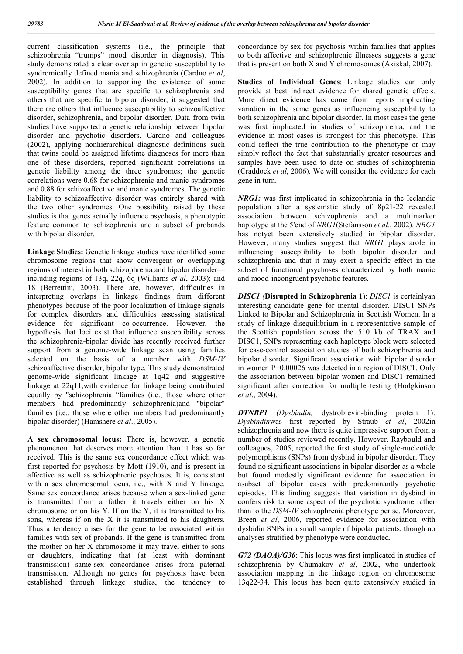current classification systems (i.e., the principle that schizophrenia "trumps" mood disorder in diagnosis). This study demonstrated a clear overlap in genetic susceptibility to syndromically defined mania and schizophrenia (Cardno *et al*, 2002). In addition to supporting the existence of some susceptibility genes that are specific to schizophrenia and others that are specific to bipolar disorder, it suggested that there are others that influence susceptibility to schizoaffective disorder, schizophrenia, and bipolar disorder. Data from twin studies have supported a genetic relationship between bipolar disorder and psychotic disorders. Cardno and colleagues (2002), applying nonhierarchical diagnostic definitions such that twins could be assigned lifetime diagnoses for more than one of these disorders, reported significant correlations in genetic liability among the three syndromes; the genetic correlations were 0.68 for schizophrenic and manic syndromes and 0.88 for schizoaffective and manic syndromes. The genetic liability to schizoaffective disorder was entirely shared with the two other syndromes. One possibility raised by these studies is that genes actually influence psychosis, a phenotypic feature common to schizophrenia and a subset of probands with bipolar disorder.

**Linkage Studies:** Genetic linkage studies have identified some chromosome regions that show convergent or overlapping regions of interest in both schizophrenia and bipolar disorder including regions of 13q, 22q, 6q (Williams *et al*, 2003); and 18 (Berrettini*,* 2003). There are, however, difficulties in interpreting overlaps in linkage findings from different phenotypes because of the poor localization of linkage signals for complex disorders and difficulties assessing statistical evidence for significant co-occurrence. However, the hypothesis that loci exist that influence susceptibility across the schizophrenia-bipolar divide has recently received further support from a genome-wide linkage scan using families selected on the basis of a member with *DSM-IV* schizoaffective disorder, bipolar type. This study demonstrated genome-wide significant linkage at 1q42 and suggestive linkage at 22q11,with evidence for linkage being contributed equally by "schizophrenia "families (i.e., those where other members had predominantly schizophrenia)and "bipolar" families (i.e., those where other members had predominantly bipolar disorder) (Hamshere *et al*., 2005).

**A sex chromosomal locus:** There is, however, a genetic phenomenon that deserves more attention than it has so far received. This is the same sex concordance effect which was first reported for psychosis by Mott (1910), and is present in affective as well as schizophrenic psychoses. It is, consistent with a sex chromosomal locus, i.e., with X and Y linkage. Same sex concordance arises because when a sex-linked gene is transmitted from a father it travels either on his X chromosome or on his Y. If on the Y, it is transmitted to his sons, whereas if on the X it is transmitted to his daughters. Thus a tendency arises for the gene to be associated within families with sex of probands. If the gene is transmitted from the mother on her X chromosome it may travel either to sons or daughters, indicating that (at least with dominant transmission) same-sex concordance arises from paternal transmission. Although no genes for psychosis have been established through linkage studies, the tendency to

concordance by sex for psychosis within families that applies to both affective and schizophrenic illnesses suggests a gene that is present on both X and Y chromosomes (Akiskal, 2007).

**Studies of Individual Genes**: Linkage studies can only provide at best indirect evidence for shared genetic effects. More direct evidence has come from reports implicating variation in the same genes as influencing susceptibility to both schizophrenia and bipolar disorder. In most cases the gene was first implicated in studies of schizophrenia, and the evidence in most cases is strongest for this phenotype. This could reflect the true contribution to the phenotype or may simply reflect the fact that substantially greater resources and samples have been used to date on studies of schizophrenia (Craddock *et al*, 2006). We will consider the evidence for each gene in turn.

*NRG1:* was first implicated in schizophrenia in the Icelandic population after a systematic study of 8p21-22 revealed association between schizophrenia and a multimarker haplotype at the 5'end of *NRG1*(Stefansson *et al.*, 2002). *NRG1* has notyet been extensively studied in bipolar disorder. However, many studies suggest that *NRG1* plays arole in influencing susceptibility to both bipolar disorder and schizophrenia and that it may exert a specific effect in the subset of functional psychoses characterized by both manic and mood-incongruent psychotic features.

*DISC1 (***Disrupted in Schizophrenia 1)**: *DISC1* is certainlyan interesting candidate gene for mental disorder. DISC1 SNPs Linked to Bipolar and Schizophrenia in Scottish Women. In a study of linkage disequilibrium in a representative sample of the Scottish population across the 510 kb of TRAX and DISC1, SNPs representing each haplotype block were selected for case-control association studies of both schizophrenia and bipolar disorder. Significant association with bipolar disorder in women P=0.00026 was detected in a region of DISC1. Only the association between bipolar women and DISC1 remained significant after correction for multiple testing (Hodgkinson *et al*., 2004).

*DTNBP1 (Dysbindin,* dystrobrevin-binding protein 1): *Dysbindin*was first reported by Straub *et al*, 2002in schizophrenia and now there is quite impressive support from a number of studies reviewed recently. However, Raybould and colleagues, 2005, reported the first study of single-nucleotide polymorphisms (SNPs) from dysbind in bipolar disorder. They found no significant associations in bipolar disorder as a whole but found modestly significant evidence for association in asubset of bipolar cases with predominantly psychotic episodes. This finding suggests that variation in dysbind in confers risk to some aspect of the psychotic syndrome rather than to the *DSM-IV* schizophrenia phenotype per se. Moreover, Breen *et al*, 2006, reported evidence for association with dysbidin SNPs in a small sample of bipolar patients, though no analyses stratified by phenotype were conducted.

*G72 (DAOA)/G30*: This locus was first implicated in studies of schizophrenia by Chumakov *et al*, 2002, who undertook association mapping in the linkage region on chromosome 13q22-34. This locus has been quite extensively studied in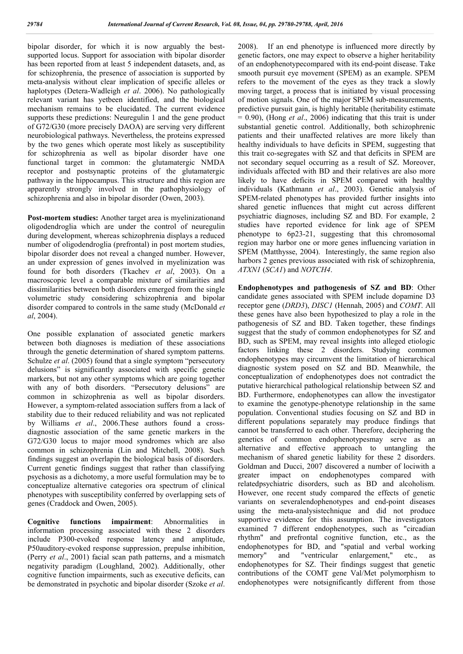bipolar disorder, for which it is now arguably the bestsupported locus. Support for association with bipolar disorder has been reported from at least 5 independent datasets, and, as for schizophrenia, the presence of association is supported by meta-analysis without clear implication of specific alleles or haplotypes (Detera-Wadleigh *et al*. 2006). No pathologically relevant variant has yetbeen identified, and the biological mechanism remains to be elucidated. The current evidence supports these predictions: Neuregulin 1 and the gene product of G72/G30 (more precisely DAOA) are serving very different neurobiological pathways. Nevertheless, the proteins expressed by the two genes which operate most likely as susceptibility for schizophrenia as well as bipolar disorder have one functional target in common: the glutamatergic NMDA receptor and postsynaptic proteins of the glutamatergic pathway in the hippocampus. This structure and this region are apparently strongly involved in the pathophysiology of schizophrenia and also in bipolar disorder (Owen, 2003).

**Post-mortem studies:** Another target area is myelinizationand oligodendroglia which are under the control of neuregulin during development, whereas schizophrenia displays a reduced number of oligodendroglia (prefrontal) in post mortem studies, bipolar disorder does not reveal a changed number. However, an under expression of genes involved in myelinization was found for both disorders (Tkachev *et al*, 2003). On a macroscopic level a comparable mixture of similarities and dissimilarities between both disorders emerged from the single volumetric study considering schizophrenia and bipolar disorder compared to controls in the same study (McDonald *et al*, 2004).

One possible explanation of associated genetic markers between both diagnoses is mediation of these associations through the genetic determination of shared symptom patterns. Schulze *et al*. (2005) found that a single symptom "persecutory delusions" is significantly associated with specific genetic markers, but not any other symptoms which are going together with any of both disorders. "Persecutory delusions" are common in schizophrenia as well as bipolar disorders. However, a symptom-related association suffers from a lack of stability due to their reduced reliability and was not replicated by Williams *et al*., 2006.These authors found a crossdiagnostic association of the same genetic markers in the G72/G30 locus to major mood syndromes which are also common in schizophrenia (Lin and Mitchell, 2008). Such findings suggest an overlapin the biological basis of disorders. Current genetic findings suggest that rather than classifying psychosis as a dichotomy, a more useful formulation may be to conceptualize alternative categories ora spectrum of clinical phenotypes with susceptibility conferred by overlapping sets of genes (Craddock and Owen, 2005).

**Cognitive functions impairment**: Abnormalities in information processing associated with these 2 disorders include P300-evoked response latency and amplitude, P50auditory-evoked response suppression, prepulse inhibition, (Perry *et al*., 2001) facial scan path patterns, and a mismatch negativity paradigm (Loughland, 2002). Additionally, other cognitive function impairments, such as executive deficits, can be demonstrated in psychotic and bipolar disorder (Szoke *et al*.

2008). If an end phenotype is influenced more directly by genetic factors, one may expect to observe a higher heritability of an endophenotypecompared with its end-point disease. Take smooth pursuit eye movement (SPEM) as an example. SPEM refers to the movement of the eyes as they track a slowly moving target, a process that is initiated by visual processing of motion signals. One of the major SPEM sub-measurements, predictive pursuit gain, is highly heritable (heritability estimate = 0.90), (Hong *et al*., 2006) indicating that this trait is under substantial genetic control. Additionally, both schizophrenic patients and their unaffected relatives are more likely than healthy individuals to have deficits in SPEM, suggesting that this trait co-segregates with SZ and that deficits in SPEM are not secondary sequel occurring as a result of SZ. Moreover, individuals affected with BD and their relatives are also more likely to have deficits in SPEM compared with healthy individuals (Kathmann *et al*., 2003). Genetic analysis of SPEM-related phenotypes has provided further insights into shared genetic influences that might cut across different psychiatric diagnoses, including SZ and BD. For example, 2 studies have reported evidence for link age of SPEM phenotype to 6p23-21, suggesting that this chromosomal region may harbor one or more genes influencing variation in SPEM (Matthysse, 2004). Interestingly, the same region also harbors 2 genes previous associated with risk of schizophrenia, *ATXN1* (*SCA1*) and *NOTCH4*.

**Endophenotypes and pathogenesis of SZ and BD**: Other candidate genes associated with SPEM include dopamine D3 receptor gene (*DRD3*), *DISC1* (Hennah, 2005) and *COMT*. All these genes have also been hypothesized to play a role in the pathogenesis of SZ and BD. Taken together, these findings suggest that the study of common endophenotypes for SZ and BD, such as SPEM, may reveal insights into alleged etiologic factors linking these 2 disorders. Studying common endophenotypes may circumvent the limitation of hierarchical diagnostic system posed on SZ and BD. Meanwhile, the conceptualization of endophenotypes does not contradict the putative hierarchical pathological relationship between SZ and BD. Furthermore, endophenotypes can allow the investigator to examine the genotype-phenotype relationship in the same population. Conventional studies focusing on SZ and BD in different populations separately may produce findings that cannot be transferred to each other. Therefore, deciphering the genetics of common endophenotypesmay serve as an alternative and effective approach to untangling the mechanism of shared genetic liability for these 2 disorders. Goldman and Ducci, 2007 discovered a number of lociwith a greater impact on endophenotypes compared with relatedpsychiatric disorders, such as BD and alcoholism. However, one recent study compared the effects of genetic variants on severalendophenotypes and end-point diseases using the meta-analysistechnique and did not produce supportive evidence for this assumption. The investigators examined 7 different endophenotypes, such as "circadian rhythm" and prefrontal cognitive function, etc., as the endophenotypes for BD, and "spatial and verbal working memory" and "ventricular enlargement," etc., as endophenotypes for SZ. Their findings suggest that genetic contributions of the COMT gene Val/Met polymorphism to endophenotypes were notsignificantly different from those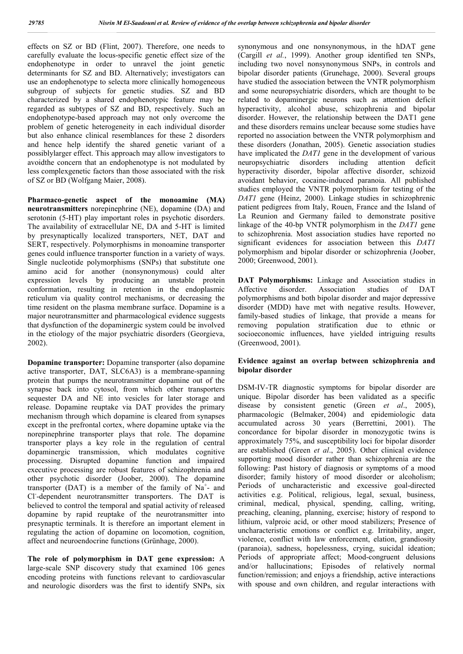effects on SZ or BD (Flint, 2007). Therefore, one needs to carefully evaluate the locus-specific genetic effect size of the endophenotype in order to unravel the joint genetic determinants for SZ and BD. Alternatively; investigators can use an endophenotype to selecta more clinically homogeneous subgroup of subjects for genetic studies. SZ and BD characterized by a shared endophenotypic feature may be regarded as subtypes of SZ and BD, respectively. Such an endophenotype-based approach may not only overcome the problem of genetic heterogeneity in each individual disorder but also enhance clinical resemblances for these 2 disorders and hence help identify the shared genetic variant of a possiblylarger effect. This approach may allow investigators to avoidthe concern that an endophenotype is not modulated by less complexgenetic factors than those associated with the risk of SZ or BD (Wolfgang Maier, 2008).

**Pharmaco-genetic aspect of the monoamine (MA) neurotransmitters** norepinephrine (NE), dopamine (DA) and serotonin (5-HT) play important roles in psychotic disorders. The availability of extracellular NE, DA and 5-HT is limited by presynaptically localized transporters, NET, DAT and SERT, respectively. Polymorphisms in monoamine transporter genes could influence transporter function in a variety of ways. Single nucleotide polymorphisms (SNPs) that substitute one amino acid for another (nonsynonymous) could alter expression levels by producing an unstable protein conformation, resulting in retention in the endoplasmic reticulum via quality control mechanisms, or decreasing the time resident on the plasma membrane surface. Dopamine is a major neurotransmitter and pharmacological evidence suggests that dysfunction of the dopaminergic system could be involved in the etiology of the major psychiatric disorders (Georgieva, 2002).

**Dopamine transporter:** Dopamine transporter (also dopamine active transporter, DAT, SLC6A3) is a membrane-spanning protein that pumps the neurotransmitter dopamine out of the synapse back into cytosol, from which other transporters sequester DA and NE into vesicles for later storage and release. Dopamine reuptake via DAT provides the primary mechanism through which dopamine is cleared from synapses except in the prefrontal cortex, where dopamine uptake via the norepinephrine transporter plays that role. The dopamine transporter plays a key role in the regulation of central dopaminergic transmission, which modulates cognitive processing. Disrupted dopamine function and impaired executive processing are robust features of schizophrenia and other psychotic disorder (Joober, 2000). The dopamine transporter (DAT) is a member of the family of  $Na<sup>+</sup>$  and Cl- -dependent neurotransmitter transporters. The DAT is believed to control the temporal and spatial activity of released dopamine by rapid reuptake of the neurotransmitter into presynaptic terminals. It is therefore an important element in regulating the action of dopamine on locomotion, cognition, affect and neuroendocrine functions (Grünhage, 2000).

**The role of polymorphism in DAT gene expression:** A large-scale SNP discovery study that examined 106 genes encoding proteins with functions relevant to cardiovascular and neurologic disorders was the first to identify SNPs, six synonymous and one nonsynonymous, in the hDAT gene (Cargill *et al.*, 1999). Another group identified ten SNPs, including two novel nonsynonymous SNPs, in controls and bipolar disorder patients (Grunehage, 2000). Several groups have studied the association between the VNTR polymorphism and some neuropsychiatric disorders, which are thought to be related to dopaminergic neurons such as attention deficit hyperactivity, alcohol abuse, schizophrenia and bipolar disorder. However, the relationship between the DAT1 gene and these disorders remains unclear because some studies have reported no association between the VNTR polymorphism and these disorders (Jonathan, 2005). Genetic association studies have implicated the *DAT1* gene in the development of various<br>neuropsychiatric disorders including attention deficit disorders including attention deficit hyperactivity disorder, bipolar affective disorder, schizoid avoidant behavior, cocaine-induced paranoia. All published studies employed the VNTR polymorphism for testing of the *DAT1* gene (Heinz, 2000). Linkage studies in schizophrenic patient pedigrees from Italy, Rouen, France and the Island of La Reunion and Germany failed to demonstrate positive linkage of the 40-bp VNTR polymorphism in the *DAT1* gene to schizophrenia. Most association studies have reported no significant evidences for association between this *DAT1* polymorphism and bipolar disorder or schizophrenia (Joober, 2000; Greenwood, 2001).

**DAT Polymorphisms:** Linkage and Association studies in Affective disorder. Association studies of DAT polymorphisms and both bipolar disorder and major depressive disorder (MDD) have met with negative results. However, family-based studies of linkage, that provide a means for removing population stratification due to ethnic or socioeconomic influences, have yielded intriguing results (Greenwood, 2001).

#### **Evidence against an overlap between schizophrenia and bipolar disorder**

DSM-IV-TR diagnostic symptoms for bipolar disorder are unique. Bipolar disorder has been validated as a specific disease by consistent genetic (Green *et al*., 2005), pharmacologic (Belmaker, 2004) and epidemiologic data accumulated across 30 years (Berrettini, 2001). The concordance for bipolar disorder in monozygotic twins is approximately 75%, and susceptibility loci for bipolar disorder are established (Green *et al*., 2005). Other clinical evidence supporting mood disorder rather than schizophrenia are the following: Past history of diagnosis or symptoms of a mood disorder; family history of mood disorder or alcoholism; Periods of uncharacteristic and excessive goal-directed activities e.g. Political, religious, legal, sexual, business, criminal, medical, physical, spending, calling, writing, preaching, cleaning, planning, exercise; history of respond to lithium, valproic acid, or other mood stabilizers; Presence of uncharacteristic emotions or conflict e.g. Irritability, anger, violence, conflict with law enforcement, elation, grandiosity (paranoia), sadness, hopelessness, crying, suicidal ideation; Periods of appropriate affect; Mood-congruent delusions and/or hallucinations; Episodes of relatively normal function/remission; and enjoys a friendship, active interactions with spouse and own children, and regular interactions with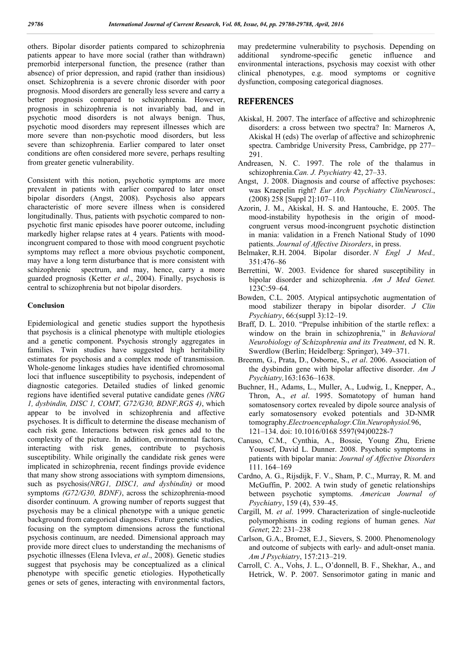others. Bipolar disorder patients compared to schizophrenia patients appear to have more social (rather than withdrawn) premorbid interpersonal function, the presence (rather than absence) of prior depression, and rapid (rather than insidious) onset. Schizophrenia is a severe chronic disorder with poor prognosis. Mood disorders are generally less severe and carry a better prognosis compared to schizophrenia. However, prognosis in schizophrenia is not invariably bad, and in psychotic mood disorders is not always benign. Thus, psychotic mood disorders may represent illnesses which are more severe than non-psychotic mood disorders, but less severe than schizophrenia. Earlier compared to later onset conditions are often considered more severe, perhaps resulting from greater genetic vulnerability.

Consistent with this notion, psychotic symptoms are more prevalent in patients with earlier compared to later onset bipolar disorders (Angst, 2008). Psychosis also appears characteristic of more severe illness when is considered longitudinally. Thus, patients with psychotic compared to nonpsychotic first manic episodes have poorer outcome, including markedly higher relapse rates at 4 years. Patients with moodincongruent compared to those with mood congruent psychotic symptoms may reflect a more obvious psychotic component, may have a long term disturbance that is more consistent with schizophrenic spectrum, and may, hence, carry a more guarded prognosis (Ketter *et al*., 2004). Finally, psychosis is central to schizophrenia but not bipolar disorders.

#### **Conclusion**

Epidemiological and genetic studies support the hypothesis that psychosis is a clinical phenotype with multiple etiologies and a genetic component. Psychosis strongly aggregates in families. Twin studies have suggested high heritability estimates for psychosis and a complex mode of transmission. Whole-genome linkages studies have identified chromosomal loci that influence susceptibility to psychosis, independent of diagnostic categories. Detailed studies of linked genomic regions have identified several putative candidate genes *(NRG 1, dysbindin, DISC 1, COMT, G72/G30, BDNF,RGS 4)*, which appear to be involved in schizophrenia and affective psychoses. It is difficult to determine the disease mechanism of each risk gene. Interactions between risk genes add to the complexity of the picture. In addition, environmental factors, interacting with risk genes, contribute to psychosis susceptibility. While originally the candidate risk genes were implicated in schizophrenia, recent findings provide evidence that many show strong associations with symptom dimensions, such as psychosis*(NRG1, DISC1, and dysbindin)* or mood symptoms *(G72/G30, BDNF)*, across the schizophrenia-mood disorder continuum. A growing number of reports suggest that psychosis may be a clinical phenotype with a unique genetic background from categorical diagnoses. Future genetic studies, focusing on the symptom dimensions across the functional psychosis continuum, are needed. Dimensional approach may provide more direct clues to understanding the mechanisms of psychotic illnesses (Elena Ivleva, *et al*., 2008). Genetic studies suggest that psychosis may be conceptualized as a clinical phenotype with specific genetic etiologies. Hypothetically genes or sets of genes, interacting with environmental factors, may predetermine vulnerability to psychosis. Depending on additional syndrome-specific genetic influence and additional syndrome-specific genetic influence and environmental interactions, psychosis may coexist with other clinical phenotypes, e.g. mood symptoms or cognitive dysfunction, composing categorical diagnoses.

## **REFERENCES**

- Akiskal, H. 2007. The interface of affective and schizophrenic disorders: a cross between two spectra? In: Marneros A, Akiskal H (eds) The overlap of affective and schizophrenic spectra. Cambridge University Press, Cambridge, pp 277– 291.
- Andreasen, N. C. 1997. The role of the thalamus in schizophrenia.*Can. J. Psychiatry* 42, 27–33.
- Angst, J. 2008. Diagnosis and course of affective psychoses: was Kraepelin right? *Eur Arch Psychiatry ClinNeurosci*., (2008) 258 [Suppl 2]:107–110.
- Azorin, J. M., Akiskal, H. S. and Hantouche, E. 2005. The mood-instability hypothesis in the origin of moodcongruent versus mood-incongruent psychotic distinction in mania: validation in a French National Study of 1090 patients. *Journal of Affective Disorders*, in press.
- Belmaker, R.H. 2004. Bipolar disorder. *N Engl J Med.,*  351:476–86
- Berrettini, W. 2003. Evidence for shared susceptibility in bipolar disorder and schizophrenia. *Am J Med Genet.*  123C:59–64.
- Bowden, C.L. 2005. Atypical antipsychotic augmentation of mood stabilizer therapy in bipolar disorder. *J Clin Psychiatry*, 66:(suppl 3):12–19.
- Braff, D. L. 2010. "Prepulse inhibition of the startle reflex: a window on the brain in schizophrenia," in *Behavioral Neurobiology of Schizophrenia and its Treatment*, ed N. R. Swerdlow (Berlin; Heidelberg: Springer), 349–371.
- Breenm, G., Prata, D., Osborne, S., *et al*. 2006. Association of the dysbindin gene with bipolar affective disorder. *Am J Psychiatry,*163:1636–1638.
- Buchner, H., Adams, L., Muller, A., Ludwig, I., Knepper, A., Thron, A., *et al*. 1995. Somatotopy of human hand somatosensory cortex revealed by dipole source analysis of early somatosensory evoked potentials and 3D-NMR tomography.*Electroencephalogr.Clin.Neurophysiol.*96, 121–134. doi: 10.1016/0168 5597(94)00228-7
- Canuso, C.M., Cynthia, A., Bossie, Young Zhu, Eriene Youssef, David L. Dunner. 2008. Psychotic symptoms in patients with bipolar mania: *Journal of Affective Disorders* 111. 164–169
- Cardno, A. G., Rijsdijk, F. V., Sham, P. C., Murray, R. M. and McGuffin, P. 2002. A twin study of genetic relationships between psychotic symptoms. *American Journal of Psychiatry*, 159 (4), 539–45.
- Cargill, M. *et al*. 1999. Characterization of single-nucleotide polymorphisms in coding regions of human genes. *Nat Genet*; 22: 231–238
- Carlson, G.A., Bromet, E.J., Sievers, S. 2000. Phenomenology and outcome of subjects with early- and adult-onset mania. *Am J Psychiatry*, 157:213–219.
- Carroll, C. A., Vohs, J. L., O'donnell, B. F., Shekhar, A., and Hetrick, W. P. 2007. Sensorimotor gating in manic and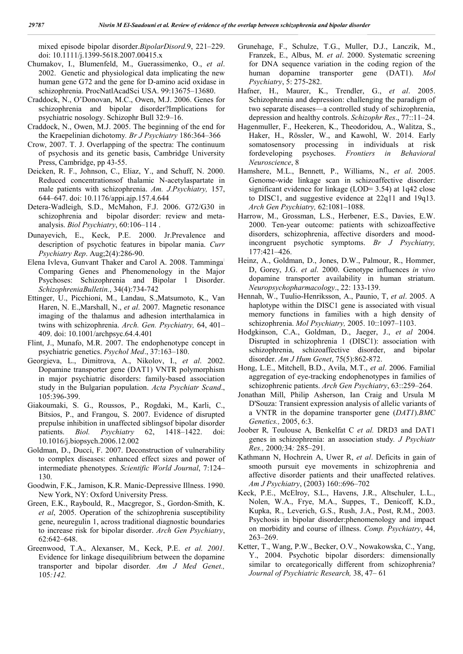mixed episode bipolar disorder.*BipolarDisord.*9, 221–229. doi: 10.1111/j.1399-5618.2007.00415.x

- Chumakov, I., Blumenfeld, M., Guerassimenko, O., *et al*. 2002. Genetic and physiological data implicating the new human gene G72 and the gene for D-amino acid oxidase in schizophrenia. ProcNatlAcadSci USA. 99:13675–13680.
- Craddock, N., O'Donovan, M.C., Owen, M.J. 2006. Genes for schizophrenia and bipolar disorder?Implications for psychiatric nosology. Schizophr Bull 32:9–16.
- Craddock, N., Owen, M.J. 2005. The beginning of the end for the Kraepelinian dichotomy*. Br J Psychiatry* 186:364–366
- Crow, 2007. T. J. Overlapping of the spectra: The continuum of psychosis and its genetic basis, Cambridge University Press, Cambridge, pp 43-55.
- Deicken, R. F., Johnson, C., Eliaz, Y., and Schuff, N. 2000. Reduced concentrationsof thalamic N-acetylaspartate in male patients with schizophrenia. *Am. J.Psychiatry,* 157, 644–647. doi: 10.1176/appi.ajp.157.4.644
- Detera-Wadleigh, S.D., McMahon, F.J. 2006. G72/G30 in schizophrenia and bipolar disorder: review and metaanalysis. *Biol Psychiatry*, 60:106–114 .
- Dunayevich, E., Keck, P.E. 2000. Jr.Prevalence and description of psychotic features in bipolar mania. *Curr Psychiatry Rep*. Aug;2(4):286-90.
- Elena Ivleva, Gunvant Thaker and Carol A. 2008. Tamminga: Comparing Genes and Phenomenology in the Major Psychoses: Schizophrenia and Bipolar 1 Disorder. *SchizophreniaBulletin.*, 34(4):734-742
- Ettinger, U., Picchioni, M., Landau, S.,Matsumoto, K., Van Haren, N. E.,Marshall, N., *et al*. 2007. Magnetic resonance imaging of the thalamus and adhesion interthalamica in twins with schizophrenia. *Arch. Gen. Psychiatry,* 64, 401– 409. doi: 10.1001/archpsyc.64.4.401
- Flint, J., Munafo, M.R. 2007. The endophenotype concept in psychiatric genetics. *Psychol Med*., 37:163–180.
- Georgieva, L., Dimitrova, A., Nikolov, I., *et al*. 2002. Dopamine transporter gene (DAT1) VNTR polymorphism in major psychiatric disorders: family-based association study in the Bulgarian population. *Acta Psychiatr Scand*., 105:396-399.
- Giakoumaki, S. G., Roussos, P., Rogdaki, M., Karli, C., Bitsios, P., and Frangou, S. 2007. Evidence of disrupted prepulse inhibition in unaffected siblingsof bipolar disorder patients. *Biol. Psychiatry* 62, 1418–1422. doi: 10.1016/j.biopsych.2006.12.002
- Goldman, D., Ducci, F. 2007. Deconstruction of vulnerability to complex diseases: enhanced effect sizes and power of intermediate phenotypes. *Scientific World Journal*, 7:124– 130.
- Goodwin, F.K., Jamison, K.R. Manic-Depressive Illness. 1990. New York, NY: Oxford University Press.
- Green, E.K., Raybould, R., Macgregor, S., Gordon-Smith, K. *et al*, 2005. Operation of the schizophrenia susceptibility gene, neuregulin 1, across traditional diagnostic boundaries to increase risk for bipolar disorder. *Arch Gen Psychiatry*, 62:642–648.
- Greenwood, T.A.*,* Alexanser, M.*,* Keck, P.E. *et al. 2001.*  Evidence for linkage disequilibrium between the dopamine transporter and bipolar disorder*. Am J Med Genet.,*  105*:142.*
- Grunehage, F., Schulze, T.G., Muller, D.J., Lanczik, M., Franzek, E., Albus, M. *et al*. 2000. Systematic screening for DNA sequence variation in the coding region of the human dopamine transporter gene (DAT1). *Mol Psychiatry*, 5: 275-282.
- Hafner, H., Maurer, K., Trendler, G., *et al*. 2005. Schizophrenia and depression: challenging the paradigm of two separate diseases—a controlled study of schizophrenia, depression and healthy controls. *Schizophr Res*., 77::11–24.
- Hagenmuller, F., Heekeren, K., Theodoridou, A., Walitza, S., Haker, H., Rössler, W., and Kawohl, W. 2014. Early somatosensory processing in individuals at risk fordeveloping psychoses. *Frontiers in Behavioral Neuroscience*, 8
- Hamshere, M.L., Bennett, P., Williams, N., *et al*. 2005. Genome-wide linkage scan in schizoaffective disorder: significant evidence for linkage (LOD= 3.54) at 1q42 close to DISC1, and suggestive evidence at 22q11 and 19q13. *Arch Gen Psychiatry,* 62:1081–1088.
- Harrow, M., Grossman, L.S., Herbener, E.S., Davies, E.W. 2000. Ten-year outcome: patients with schizoaffective disorders, schizophrenia, affective disorders and moodincongruent psychotic symptoms. *Br J Psychiatry,* 177:421–426.
- Heinz, A., Goldman, D., Jones, D.W., Palmour, R., Hommer, D, Gorey, J.G. *et al*. 2000. Genotype influences *in vivo* dopamine transporter availability in human striatum. *Neuropsychopharmacology*., 22: 133-139.
- Hennah, W., Tuulio-Henriksson, A., Paunio, T, *et al*. 2005. A haplotype within the DISC1 gene is associated with visual memory functions in families with a high density of schizophrenia. *Mol Psychiatry,* 2005. 10::1097–1103.
- Hodgkinson, C.A., Goldman, D., Jaeger, J., *et al* 2004. Disrupted in schizophrenia 1 (DISC1): association with schizophrenia, schizoaffective disorder, and bipolar disorder. *Am J Hum Genet*, 75(5):862-872.
- Hong, L.E., Mitchell, B.D., Avila, M.T., *et al*. 2006. Familial aggregation of eye-tracking endophenotypes in families of schizophrenic patients. *Arch Gen Psychiatry*, 63::259–264.
- Jonathan Mill, Philip Asherson, Ian Craig and Ursula M D'Souza: Transient expression analysis of allelic variants of a VNTR in the dopamine transporter gene (*DAT1*).*BMC Genetics.,* 2005, 6:3.
- Joober R*,* Toulouse A*,* Benkelfat C *et al.* DRD3 and DAT1 genes in schizophrenia: an association study*. J Psychiatr Res.,* 2000*;*34*:* 285*–*291*.*
- Kathmann N, Hochrein A, Uwer R, *et al*. Deficits in gain of smooth pursuit eye movements in schizophrenia and affective disorder patients and their unaffected relatives. *Am J Psychiatry*, (2003) 160::696–702
- Keck, P.E., McElroy, S.L., Havens, J.R., Altschuler, L.L., Nolen, W.A., Frye, M.A., Suppes, T., Denicoff, K.D., Kupka, R., Leverich, G.S., Rush, J.A., Post, R.M., 2003. Psychosis in bipolar disorder:phenomenology and impact on morbidity and course of illness. *Comp. Psychiatry*, 44, 263–269.
- Ketter, T., Wang, P.W., Becker, O.V., Nowakowska, C., Yang, Y., 2004. Psychotic bipolar disorders: dimensionally similar to orcategorically different from schizophrenia? *Journal of Psychiatric Research,* 38, 47– 61